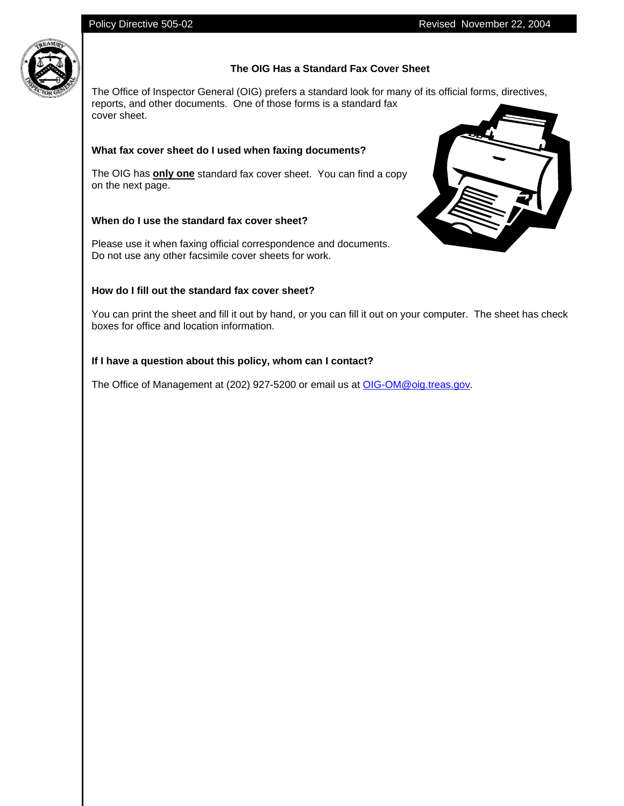

# **The OIG Has a Standard Fax Cover Sheet**

The Office of Inspector General (OIG) prefers a standard look for many of its official forms, directives, reports, and other documents. One of those forms is a standard fax cover sheet.

## **What fax cover sheet do I used when faxing documents?**

The OIG has **only one** standard fax cover sheet. You can find a copy on the next page.

## **When do I use the standard fax cover sheet?**

Please use it when faxing official correspondence and documents. Do not use any other facsimile cover sheets for work.

### **How do I fill out the standard fax cover sheet?**



You can print the sheet and fill it out by hand, or you can fill it out on your computer. The sheet has check boxes for office and location information.

### **If I have a question about this policy, whom can I contact?**

The Office of Management at (202) 927-5200 or email us at OIG-OM@oig.treas.gov.